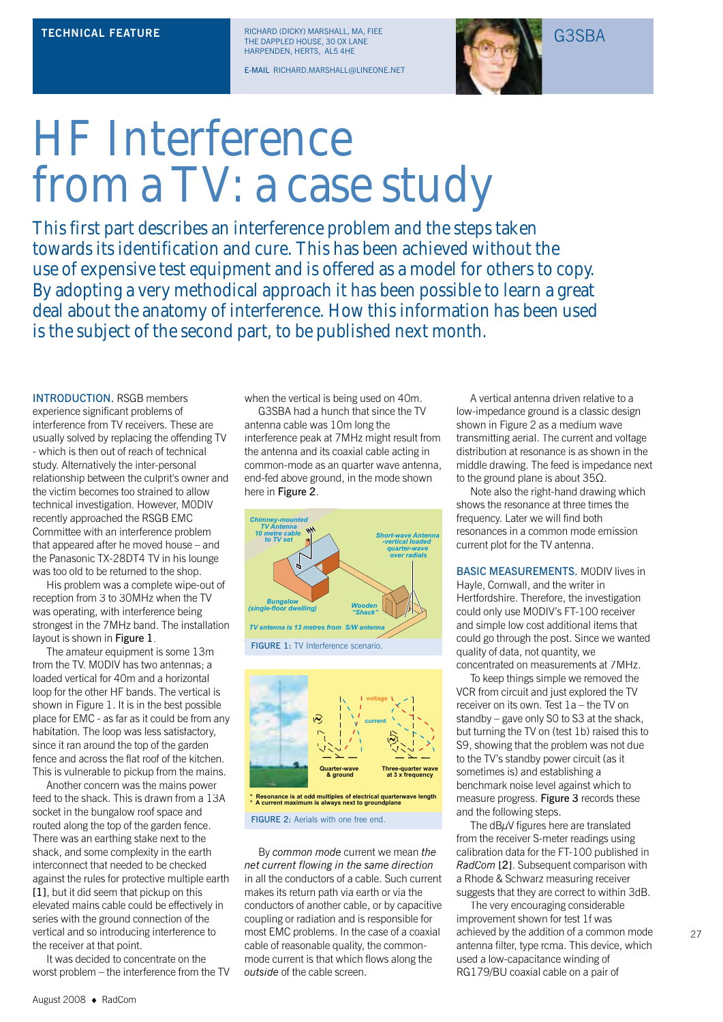RICHARD (DICKY) MARSHALL, MA, FIEE **TECHNICAL FEATURE** RICHARD (DICKY) MARSHALL, MA, FIEE<br>THE DAPPLED HOUSE, 30 OX LANE HARPENDEN, HERTS, AL5 4HE

E-MAIL RICHARD.MARSHALL@LINEONE.NET



## HF Interference from a TV: a case study

This first part describes an interference problem and the steps taken towards its identification and cure. This has been achieved without the use of expensive test equipment and is offered as a model for others to copy. By adopting a very methodical approach it has been possible to learn a great deal about the anatomy of interference. How this information has been used is the subject of the second part, to be published next month.

INTRODUCTION. RSGB members experience significant problems of interference from TV receivers. These are usually solved by replacing the offending TV - which is then out of reach of technical study. Alternatively the inter-personal relationship between the culprit's owner and the victim becomes too strained to allow technical investigation. However, M0DIV recently approached the RSGB EMC Committee with an interference problem that appeared after he moved house – and the Panasonic TX-28DT4 TV in his lounge was too old to be returned to the shop.

His problem was a complete wipe-out of reception from 3 to 30MHz when the TV was operating, with interference being strongest in the 7MHz band. The installation layout is shown in Figure 1.

The amateur equipment is some 13m from the TV. M0DIV has two antennas; a loaded vertical for 40m and a horizontal loop for the other HF bands. The vertical is shown in Figure 1. It is in the best possible place for EMC - as far as it could be from any habitation. The loop was less satisfactory, since it ran around the top of the garden fence and across the flat roof of the kitchen. This is vulnerable to pickup from the mains.

Another concern was the mains power feed to the shack. This is drawn from a 13A socket in the bungalow roof space and routed along the top of the garden fence. There was an earthing stake next to the shack, and some complexity in the earth interconnect that needed to be checked against the rules for protective multiple earth [1], but it did seem that pickup on this elevated mains cable could be effectively in series with the ground connection of the vertical and so introducing interference to the receiver at that point.

It was decided to concentrate on the worst problem – the interference from the TV when the vertical is being used on 40m.

G3SBA had a hunch that since the TV antenna cable was 10m long the interference peak at 7MHz might result from the antenna and its coaxial cable acting in common-mode as an quarter wave antenna, end-fed above ground, in the mode shown here in Figure 2.



**Quarter-wave & ground at 3 x frequency \* Resonance is at odd multiples of electrical quarterwave length \* A current maximum is always next to groundplane**

FIGURE 2: Aerials with one free end.

By *common mode* current we mean *the net current flowing in the same direction* in all the conductors of a cable. Such current makes its return path via earth or via the conductors of another cable, or by capacitive coupling or radiation and is responsible for most EMC problems. In the case of a coaxial cable of reasonable quality, the commonmode current is that which flows along the *outside* of the cable screen.

A vertical antenna driven relative to a low-impedance ground is a classic design shown in Figure 2 as a medium wave transmitting aerial. The current and voltage distribution at resonance is as shown in the middle drawing. The feed is impedance next to the ground plane is about 35Ω.

Note also the right-hand drawing which shows the resonance at three times the frequency. Later we will find both resonances in a common mode emission current plot for the TV antenna.

BASIC MEASUREMENTS. M0DIV lives in Hayle, Cornwall, and the writer in Hertfordshire. Therefore, the investigation could only use M0DIV's FT-100 receiver and simple low cost additional items that could go through the post. Since we wanted quality of data, not quantity, we concentrated on measurements at 7MHz.

To keep things simple we removed the VCR from circuit and just explored the TV receiver on its own. Test 1a – the TV on standby – gave only S0 to S3 at the shack, but turning the TV on (test 1b) raised this to S9, showing that the problem was not due to the TV's standby power circuit (as it sometimes is) and establishing a benchmark noise level against which to measure progress. Figure 3 records these and the following steps.

The dBμV figures here are translated from the receiver S-meter readings using calibration data for the FT-100 published in *RadCom* [2]. Subsequent comparison with a Rhode & Schwarz measuring receiver suggests that they are correct to within 3dB.

The very encouraging considerable improvement shown for test 1f was achieved by the addition of a common mode antenna filter, type rcma. This device, which used a low-capacitance winding of RG179/BU coaxial cable on a pair of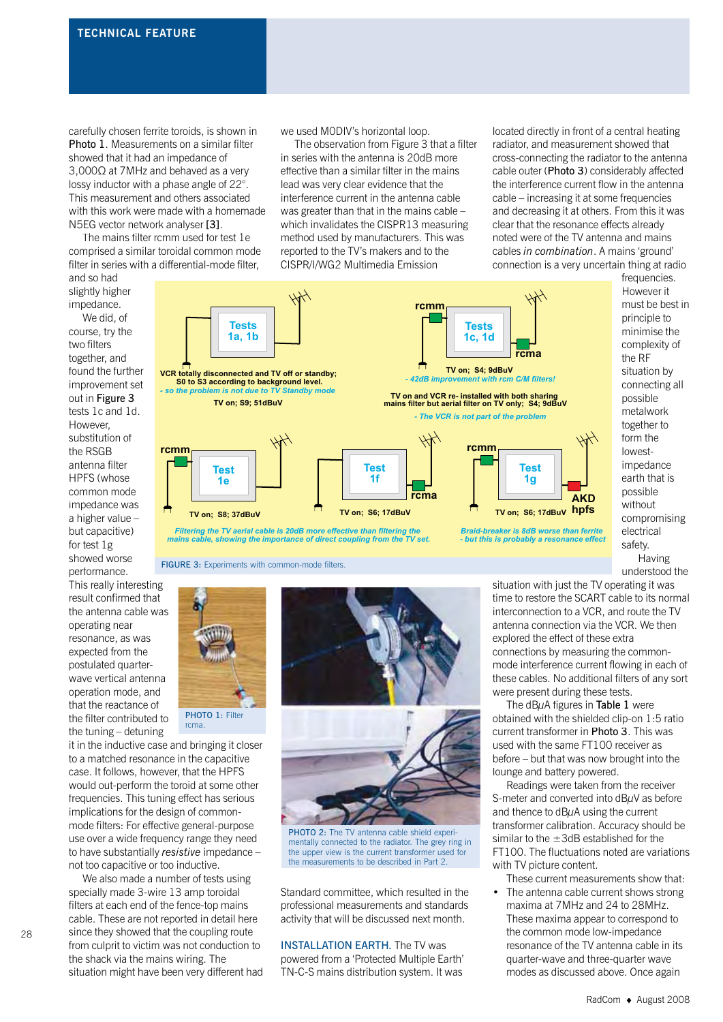carefully chosen ferrite toroids, is shown in Photo 1. Measurements on a similar filter showed that it had an impedance of 3,000Ω at 7MHz and behaved as a very lossy inductor with a phase angle of 22°. This measurement and others associated with this work were made with a homemade N5EG vector network analyser [3].

The mains filter rcmm used for test 1e comprised a similar toroidal common mode filter in series with a differential-mode filter,

and so had slightly higher impedance.

We did, of course, try the two filters together, and found the further improvement set out in Figure 3 tests 1c and 1d. However, substitution of the RSGB antenna filter HPFS (whose common mode impedance was a higher value – but capacitive) for test 1g showed worse performance.

This really interesting result confirmed that the antenna cable was operating near resonance, as was expected from the postulated quarterwave vertical antenna operation mode, and that the reactance of the filter contributed to the tuning – detuning



rcma.

it in the inductive case and bringing it closer to a matched resonance in the capacitive case. It follows, however, that the HPFS would out-perform the toroid at some other frequencies. This tuning effect has serious implications for the design of commonmode filters: For effective general-purpose use over a wide frequency range they need to have substantially *resistive* impedance – not too capacitive or too inductive.

We also made a number of tests using specially made 3-wire 13 amp toroidal filters at each end of the fence-top mains cable. These are not reported in detail here since they showed that the coupling route from culprit to victim was not conduction to the shack via the mains wiring. The situation might have been very different had we used M0DIV's horizontal loop.

The observation from Figure 3 that a filter in series with the antenna is 20dB more effective than a similar filter in the mains lead was very clear evidence that the interference current in the antenna cable was greater than that in the mains cable – which invalidates the CISPR13 measuring method used by manufacturers. This was reported to the TV's makers and to the CISPR/I/WG2 Multimedia Emission

located directly in front of a central heating radiator, and measurement showed that cross-connecting the radiator to the antenna cable outer (Photo 3) considerably affected the interference current flow in the antenna cable – increasing it at some frequencies and decreasing it at others. From this it was clear that the resonance effects already noted were of the TV antenna and mains cables *in combination*. A mains 'ground' connection is a very uncertain thing at radio



*Braid-breaker is 8dB worse than ferrite - but this is probably a resonance effect*

frequencies. However it must be best in principle to minimise the complexity of the RF situation by connecting all possible metalwork together to form the lowestimpedance earth that is possible without compromising electrical safety. Having understood the

FIGURE 3: Experiments with common-mode filters.



PHOTO 2: The TV antenna cable shield experimentally connected to the radiator. The grey ring in the upper view is the current transformer used for the measurements to be described in Part 2.

Standard committee, which resulted in the professional measurements and standards activity that will be discussed next month.

INSTALLATION EARTH. The TV was powered from a 'Protected Multiple Earth' TN-C-S mains distribution system. It was

situation with just the TV operating it was time to restore the SCART cable to its normal interconnection to a VCR, and route the TV antenna connection via the VCR. We then explored the effect of these extra connections by measuring the commonmode interference current flowing in each of these cables. No additional filters of any sort were present during these tests.

The dB $\mu$ A figures in Table 1 were obtained with the shielded clip-on 1:5 ratio current transformer in Photo 3. This was used with the same FT100 receiver as before – but that was now brought into the lounge and battery powered.

Readings were taken from the receiver S-meter and converted into  $dB\mu V$  as before and thence to dBμA using the current transformer calibration. Accuracy should be similar to the  $\pm 3$ dB established for the FT100. The fluctuations noted are variations with TV picture content.

These current measurements show that:

The antenna cable current shows strong maxima at 7MHz and 24 to 28MHz. These maxima appear to correspond to the common mode low-impedance resonance of the TV antenna cable in its quarter-wave and three-quarter wave modes as discussed above. Once again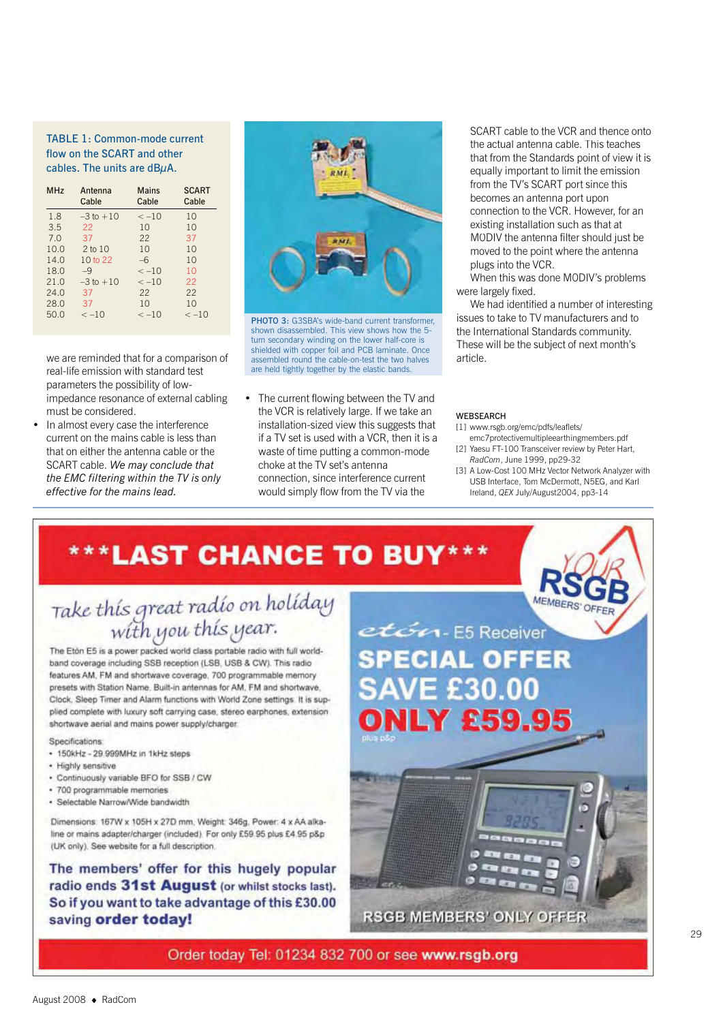#### TABLE 1: Common-mode current flow on the SCART and other cables. The units are dBμA.

| <b>MHz</b> | Antenna<br>Cable    | Mains<br>Cable | <b>SCART</b><br>Cable |
|------------|---------------------|----------------|-----------------------|
| 1.8        | $-3$ to $+10$       | $\le -10$      | 10                    |
| 3.5        | 22                  | 10             | 10                    |
| 7.0        | 37                  | 22             | 37                    |
| 10.0       | $2$ to $10$         | 1 <sub>0</sub> | 10                    |
| 14.0       | 10 <sub>to</sub> 22 | -6             | 10                    |
| 18.0       | $-9$                | $\lt -10$      | 10                    |
| 21.0       | $-3$ to $+10$       | $\le -10$      | 22                    |
| 24.0       | 37                  | 22             | 22                    |
| 28.0       | 37                  | 1 <sub>0</sub> | 10                    |
| 50.0       | $\le -10$           | $\lt -10$      | $\lt -10$             |

we are reminded that for a comparison of real-life emission with standard test parameters the possibility of lowimpedance resonance of external cabling must be considered.

• In almost every case the interference current on the mains cable is less than that on either the antenna cable or the SCART cable. *We may conclude that the EMC filtering within the TV is only effective for the mains lead.*



PHOTO 3: G3SBA's wide-band current transformer, shown disassembled. This view shows how the 5 turn secondary winding on the lower half-core is shielded with copper foil and PCB laminate. Once assembled round the cable-on-test the two halves are held tightly together by the elastic bands.

The current flowing between the TV and the VCR is relatively large. If we take an installation-sized view this suggests that if a TV set is used with a VCR, then it is a waste of time putting a common-mode choke at the TV set's antenna connection, since interference current would simply flow from the TV via the

SCART cable to the VCR and thence onto the actual antenna cable. This teaches that from the Standards point of view it is equally important to limit the emission from the TV's SCART port since this becomes an antenna port upon connection to the VCR. However, for an existing installation such as that at M0DIV the antenna filter should just be moved to the point where the antenna plugs into the VCR.

When this was done M0DIV's problems were largely fixed.

We had identified a number of interesting issues to take to TV manufacturers and to the International Standards community. These will be the subject of next month's article.

#### WEBSEARCH

[1] www.rsgb.org/emc/pdfs/leaflets/

- emc7protectivemultipleearthingmembers.pdf [2] Yaesu FT-100 Transceiver review by Peter Hart, *RadCom*, June 1999, pp29-32
- [3] A Low-Cost 100 MHz Vector Network Analyzer with USB Interface, Tom McDermott, N5EG, and Karl Ireland, *QEX* July/August2004, pp3-14

### \*\*\*LAST CHANCE TO BUY\*\*\*

# Take this great radio on holiday

The Eton E5 is a power packed world class portable radio with full worldband coverage including SSB reception (LSB, USB & CW). This radio features AM, FM and shortwave coverage, 700 programmable memory presets with Station Name, Built-in antennas for AM, FM and shortwave, Clock, Sleep Timer and Alarm functions with World Zone settings It is supplied complete with luxury soft carrying case, stereo earphones, extension shortwave aerial and mains power supply/charger.

Specifications

- 150kHz 29.999MHz in 1kHz steps
- · Highly sensitive
- . Continuously variable BFO for SSB / CW
- · 700 programmable memories
- · Selectable Narrow/Wide bandwidth

Dimensions: 167W x 105H x 27D mm, Weight: 346g, Power: 4 x AA alkaline or mains adapter/charger (included) For only £59.95 plus £4.95 p&p (UK only). See website for a full description.

The members' offer for this hugely popular radio ends 31st August (or whilst stocks last). So if you want to take advantage of this £30.00 saving order today!



Order today Tel: 01234 832 700 or see www.rsgb.org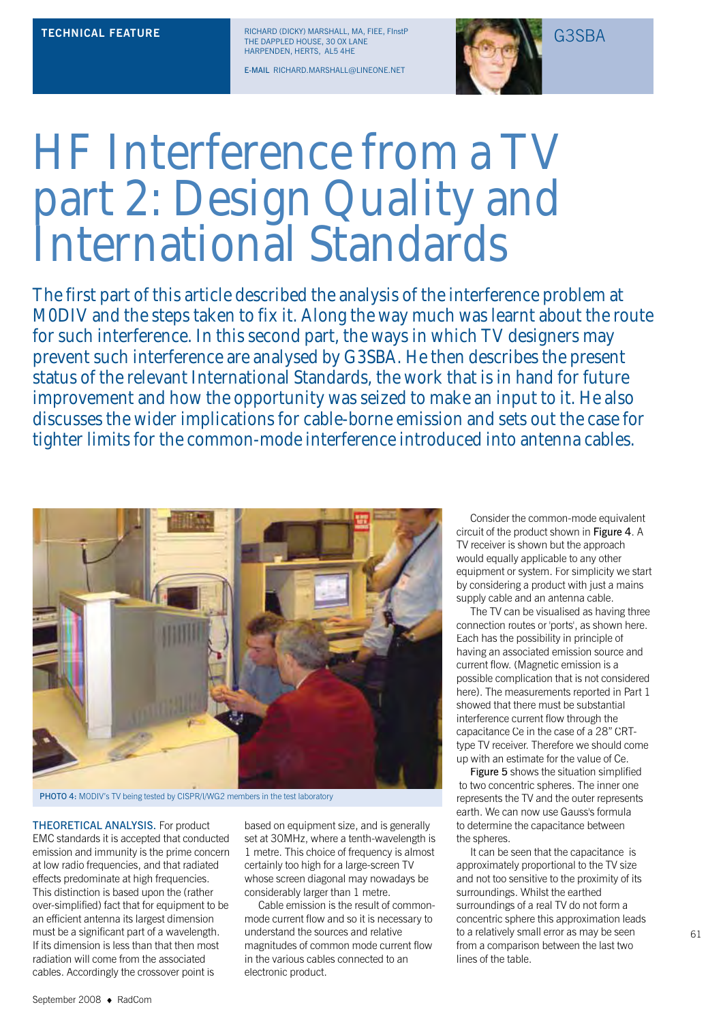RICHARD (DICKY) MARSHALL, MA, FIEE, FInstP **TECHNICAL FEATURE** RICHARD (DICKY) MARSHALL, MA, FIEE, FInstP<br>THE DAPPLED HOUSE, 30 OX LANE HARPENDEN, HERTS, AL5 4HE

E-MAIL RICHARD.MARSHALL@LINEONE.NET



### HF Interference from a TV part 2: Design Quality and International Standards

The first part of this article described the analysis of the interference problem at M0DIV and the steps taken to fix it. Along the way much was learnt about the route for such interference. In this second part, the ways in which TV designers may prevent such interference are analysed by G3SBA. He then describes the present status of the relevant International Standards, the work that is in hand for future improvement and how the opportunity was seized to make an input to it. He also discusses the wider implications for cable-borne emission and sets out the case for tighter limits for the common-mode interference introduced into antenna cables.



PHOTO 4: M0DIV's TV being tested by CISPR/I/WG2 members in the test laboratory

THEORETICAL ANALYSIS. For product EMC standards it is accepted that conducted emission and immunity is the prime concern at low radio frequencies, and that radiated effects predominate at high frequencies. This distinction is based upon the (rather over-simplified) fact that for equipment to be an efficient antenna its largest dimension must be a significant part of a wavelength. If its dimension is less than that then most radiation will come from the associated cables. Accordingly the crossover point is

based on equipment size, and is generally set at 30MHz, where a tenth-wavelength is 1 metre. This choice of frequency is almost certainly too high for a large-screen TV whose screen diagonal may nowadays be considerably larger than 1 metre.

Cable emission is the result of commonmode current flow and so it is necessary to understand the sources and relative magnitudes of common mode current flow in the various cables connected to an electronic product.

Consider the common-mode equivalent circuit of the product shown in Figure 4. A TV receiver is shown but the approach would equally applicable to any other equipment or system. For simplicity we start by considering a product with just a mains supply cable and an antenna cable.

The TV can be visualised as having three connection routes or 'ports', as shown here. Each has the possibility in principle of having an associated emission source and current flow. (Magnetic emission is a possible complication that is not considered here). The measurements reported in Part 1 showed that there must be substantial interference current flow through the capacitance Ce in the case of a 28" CRTtype TV receiver. Therefore we should come up with an estimate for the value of Ce.

Figure 5 shows the situation simplified to two concentric spheres. The inner one represents the TV and the outer represents earth. We can now use Gauss's formula to determine the capacitance between the spheres.

It can be seen that the capacitance is approximately proportional to the TV size and not too sensitive to the proximity of its surroundings. Whilst the earthed surroundings of a real TV do not form a concentric sphere this approximation leads to a relatively small error as may be seen from a comparison between the last two lines of the table.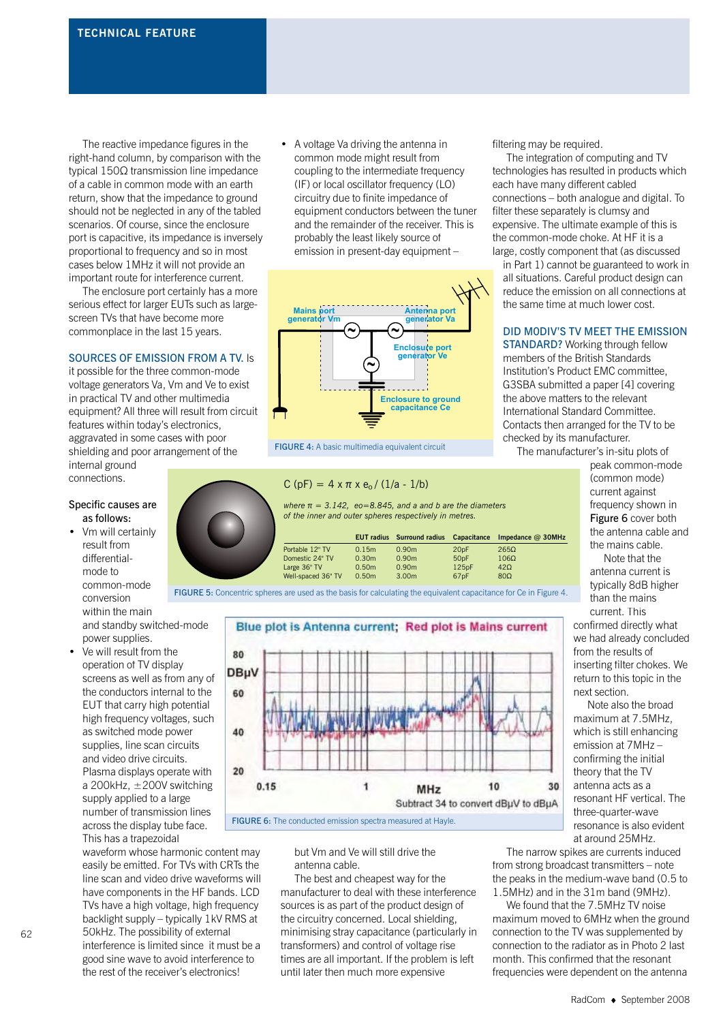The reactive impedance figures in the right-hand column, by comparison with the typical 150Ω transmission line impedance of a cable in common mode with an earth return, show that the impedance to ground should not be neglected in any of the tabled scenarios. Of course, since the enclosure port is capacitive, its impedance is inversely proportional to frequency and so in most cases below 1MHz it will not provide an important route for interference current.

The enclosure port certainly has a more serious effect for larger EUTs such as largescreen TVs that have become more commonplace in the last 15 years.

#### SOURCES OF EMISSION FROM A TV. Is

it possible for the three common-mode voltage generators Va, Vm and Ve to exist in practical TV and other multimedia equipment? All three will result from circuit features within today's electronics, aggravated in some cases with poor shielding and poor arrangement of the internal ground

connections.

#### Specific causes are as follows:

- Vm will certainly result from differentialmode to common-mode conversion within the main and standby switched-mode power supplies.
- Ve will result from the operation of TV display screens as well as from any of the conductors internal to the EUT that carry high potential high frequency voltages, such as switched mode power supplies, line scan circuits and video drive circuits. Plasma displays operate with a 200kHz,  $\pm$  200V switching supply applied to a large number of transmission lines across the display tube face. This has a trapezoidal

waveform whose harmonic content may easily be emitted. For TVs with CRTs the line scan and video drive waveforms will have components in the HF bands. LCD TVs have a high voltage, high frequency backlight supply – typically 1kV RMS at 50kHz. The possibility of external interference is limited since it must be a good sine wave to avoid interference to the rest of the receiver's electronics!

• A voltage Va driving the antenna in common mode might result from coupling to the intermediate frequency (IF) or local oscillator frequency (LO) circuitry due to finite impedance of equipment conductors between the tuner and the remainder of the receiver. This is probably the least likely source of emission in present-day equipment -



FIGURE 4: A basic multimedia equivalent circuit

#### C (pF) =  $4 \times \pi \times e_0 / (1/a - 1/b)$

*where*  $π = 3.142$ ,  $eo = 8.845$ , and a and b are the diameters *of the inner and outer spheres respectively in metres.*

|                    |                   | <b>EUT radius</b> Surround radius Capacitance |                  | Impedance $@$ 30MHz |
|--------------------|-------------------|-----------------------------------------------|------------------|---------------------|
| Portable 12" TV    | 0.15m             | 0.90 <sub>m</sub>                             | 20 <sub>pF</sub> | 2650                |
| Domestic 24" TV    | 0.30m             | 0.90 <sub>m</sub>                             | 50 <sub>pF</sub> | $106\Omega$         |
| Large 36" TV       | 0.50m             | 0.90 <sub>m</sub>                             | 125pF            | 420                 |
| Well-spaced 36" TV | 0.50 <sub>m</sub> | 3.00 <sub>m</sub>                             | 67 <sub>pF</sub> | $80\Omega$          |





but Vm and Ve will still drive the antenna cable.

The best and cheapest way for the manufacturer to deal with these interference sources is as part of the product design of the circuitry concerned. Local shielding, minimising stray capacitance (particularly in transformers) and control of voltage rise times are all important. If the problem is left until later then much more expensive

filtering may be required.

The integration of computing and TV technologies has resulted in products which each have many different cabled connections – both analogue and digital. To filter these separately is clumsy and expensive. The ultimate example of this is the common-mode choke. At HF it is a large, costly component that (as discussed

in Part 1) cannot be guaranteed to work in all situations. Careful product design can reduce the emission on all connections at the same time at much lower cost.

#### DID M0DIV'S TV MEET THE EMISSION

STANDARD? Working through fellow members of the British Standards Institution's Product EMC committee, G3SBA submitted a paper [4] covering the above matters to the relevant International Standard Committee. Contacts then arranged for the TV to be checked by its manufacturer.

The manufacturer's in-situ plots of

peak common-mode (common mode) current against frequency shown in Figure 6 cover both the antenna cable and the mains cable.

Note that the antenna current is typically 8dB higher than the mains current. This confirmed directly what we had already concluded from the results of inserting filter chokes. We return to this topic in the next section.

Note also the broad maximum at 7.5MHz, which is still enhancing emission at 7MHz – confirming the initial theory that the TV antenna acts as a resonant HF vertical. The three-quarter-wave resonance is also evident at around 25MHz.

The narrow spikes are currents induced from strong broadcast transmitters – note the peaks in the medium-wave band (0.5 to 1.5MHz) and in the 31m band (9MHz).

We found that the 7.5MHz TV noise maximum moved to 6MHz when the ground connection to the TV was supplemented by connection to the radiator as in Photo 2 last month. This confirmed that the resonant frequencies were dependent on the antenna



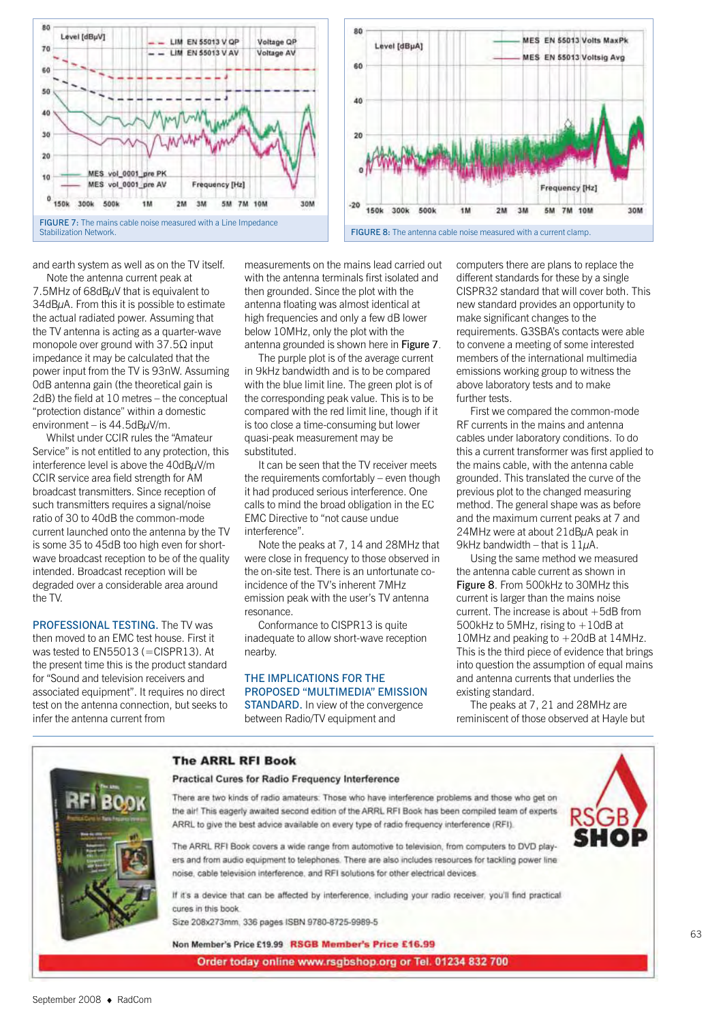



and earth system as well as on the TV itself.

Note the antenna current peak at 7.5MHz of 68dBµV that is equivalent to  $34dB\mu$ A. From this it is possible to estimate the actual radiated power. Assuming that the TV antenna is acting as a quarter-wave monopole over ground with  $37.5\Omega$  input impedance it may be calculated that the power input from the TV is 93nW. Assuming 0dB antenna gain (the theoretical gain is 2dB) the field at 10 metres – the conceptual "protection distance" within a domestic environment – is  $44.5$ dB $\mu$ V/m.

Whilst under CCIR rules the "Amateur Service" is not entitled to any protection, this interference level is above the 40dBμV/m CCIR service area field strength for AM broadcast transmitters. Since reception of such transmitters requires a signal/noise ratio of 30 to 40dB the common-mode current launched onto the antenna by the TV is some 35 to 45dB too high even for shortwave broadcast reception to be of the quality intended. Broadcast reception will be degraded over a considerable area around the TV.

PROFESSIONAL TESTING. The TV was then moved to an EMC test house. First it was tested to EN55013 (=CISPR13). At the present time this is the product standard for "Sound and television receivers and associated equipment". It requires no direct test on the antenna connection, but seeks to infer the antenna current from

measurements on the mains lead carried out with the antenna terminals first isolated and then grounded. Since the plot with the antenna floating was almost identical at high frequencies and only a few dB lower below 10MHz, only the plot with the antenna grounded is shown here in Figure 7.

The purple plot is of the average current in 9kHz bandwidth and is to be compared with the blue limit line. The green plot is of the corresponding peak value. This is to be compared with the red limit line, though if it is too close a time-consuming but lower quasi-peak measurement may be substituted.

It can be seen that the TV receiver meets the requirements comfortably – even though it had produced serious interference. One calls to mind the broad obligation in the EC EMC Directive to "not cause undue interference".

Note the peaks at 7, 14 and 28MHz that were close in frequency to those observed in the on-site test. There is an unfortunate coincidence of the TV's inherent 7MHz emission peak with the user's TV antenna resonance.

Conformance to CISPR13 is quite inadequate to allow short-wave reception nearby.

#### THE IMPLICATIONS FOR THE PROPOSED "MULTIMEDIA" EMISSION

STANDARD. In view of the convergence between Radio/TV equipment and

computers there are plans to replace the different standards for these by a single CISPR32 standard that will cover both. This new standard provides an opportunity to make significant changes to the requirements. G3SBA's contacts were able to convene a meeting of some interested members of the international multimedia emissions working group to witness the above laboratory tests and to make further tests.

First we compared the common-mode RF currents in the mains and antenna cables under laboratory conditions. To do this a current transformer was first applied to the mains cable, with the antenna cable grounded. This translated the curve of the previous plot to the changed measuring method. The general shape was as before and the maximum current peaks at 7 and 24MHz were at about 21dBuA peak in 9kHz bandwidth – that is  $11\mu$ A.

Using the same method we measured the antenna cable current as shown in Figure 8. From 500kHz to 30MHz this current is larger than the mains noise current. The increase is about +5dB from 500kHz to 5MHz, rising to  $+10$ dB at 10MHz and peaking to +20dB at 14MHz. This is the third piece of evidence that brings into question the assumption of equal mains and antenna currents that underlies the existing standard.

The peaks at 7, 21 and 28MHz are reminiscent of those observed at Hayle but



**The ARRL RFI Book** 

**Practical Cures for Radio Frequency Interference** 

There are two kinds of radio amateurs. Those who have interference problems and those who get on the air! This eagerly awaited second edition of the ARRL RFI Book has been compiled team of experts ARRL to give the best advice available on every type of radio frequency interference (RFI).



The ARRL RFI Book covers a wide range from automotive to television, from computers to DVD players and from audio equipment to telephones. There are also includes resources for tackling power line noise, cable television interference, and RFI solutions for other electrical devices

If it's a device that can be affected by interference, including your radio receiver, you'll find practical cures in this book

Size 208x273mm, 336 pages ISBN 9780-8725-9989-5

Non Member's Price £19.99 RSGB Member's Price £16.99

Order today online www.rsgbshop.org or Tel. 01234 832 700